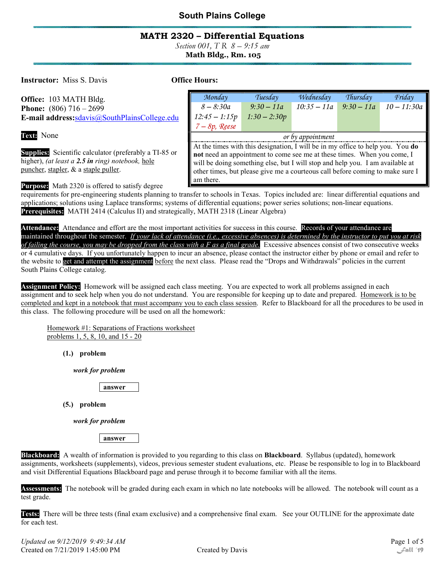### MATH 2320 – Differential Equations

Section 001, T R  $8 - 9:15$  am Math Bldg., Rm. 105

**Instructor:** Miss S. Davis **Conserversity Office Hours:** 

| <b>Office:</b> 103 MATH Bldg.                 | Monday                                                                         | Tuesday        | Wednesday     | Thursday   | Friday        |
|-----------------------------------------------|--------------------------------------------------------------------------------|----------------|---------------|------------|---------------|
| <b>Phone:</b> $(806)$ 716 – 2699              | $8 - 8:30a$                                                                    | $9:30-11a$     | $10:35 - 11a$ | $9:30-11a$ | $10 - 11:30a$ |
| E-mail address: sdavis@SouthPlainsCollege.edu | $12:45 - 1:15p$                                                                | $1:30 - 2:30p$ |               |            |               |
|                                               | $7 - 8p$ , Reese                                                               |                |               |            |               |
| Text: None                                    | or by appointment                                                              |                |               |            |               |
|                                               | At the times with this designation, I will be in my office to help you. You do |                |               |            |               |

not need an appointment to come see me at these times. When you come, I will be doing something else, but I will stop and help you. I am available at other times, but please give me a courteous call before coming to make sure I

Supplies: Scientific calculator (preferably a TI-85 or higher), (at least a  $2.5$  in ring) notebook, hole puncher, stapler, & a staple puller.

Purpose: Math 2320 is offered to satisfy degree

requirements for pre-engineering students planning to transfer to schools in Texas. Topics included are: linear differential equations and applications; solutions using Laplace transforms; systems of differential equations; power series solutions; non-linear equations. Prerequisites: MATH 2414 (Calculus II) and strategically, MATH 2318 (Linear Algebra)

am there.

Attendance: Attendance and effort are the most important activities for success in this course. Records of your attendance are maintained throughout the semester. If your lack of attendance (i.e., excessive absences) is determined by the instructor to put you at risk of failing the course, you may be dropped from the class with a F as a final grade. Excessive absences consist of two consecutive weeks or 4 cumulative days. If you unfortunately happen to incur an absence, please contact the instructor either by phone or email and refer to the website to get and attempt the assignment before the next class. Please read the "Drops and Withdrawals" policies in the current South Plains College catalog.

Assignment Policy: Homework will be assigned each class meeting. You are expected to work all problems assigned in each assignment and to seek help when you do not understand. You are responsible for keeping up to date and prepared. Homework is to be completed and kept in a notebook that must accompany you to each class session. Refer to Blackboard for all the procedures to be used in this class. The following procedure will be used on all the homework:

Homework #1: Separations of Fractions worksheet problems 1, 5, 8, 10, and 15 - 20

(1.) problem

work for problem

answer

(5.) problem

work for problem

answer

Blackboard: A wealth of information is provided to you regarding to this class on Blackboard. Syllabus (updated), homework assignments, worksheets (supplements), videos, previous semester student evaluations, etc. Please be responsible to log in to Blackboard and visit Differential Equations Blackboard page and peruse through it to become familiar with all the items.

Assessments: The notebook will be graded during each exam in which no late notebooks will be allowed. The notebook will count as a test grade.

Tests: There will be three tests (final exam exclusive) and a comprehensive final exam. See your OUTLINE for the approximate date for each test.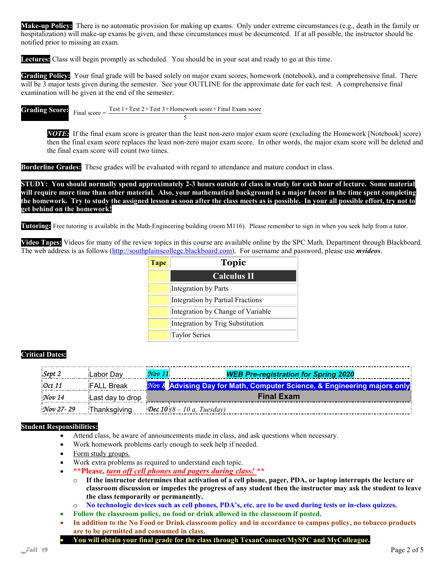Make-up Policy: There is no automatic provision for making up exams. Only under extreme circumstances (e.g., death in the family or hospitalization) will make-up exams be given, and these circumstances must be documented. If at all possible, the instructor should be notified prior to missing an exam.

Lectures: Class will begin promptly as scheduled. You should be in your seat and ready to go at this time.

Grading Policy: Your final grade will be based solely on major exam scores, homework (notebook), and a comprehensive final. There will be 3 major tests given during the semester. See your OUTLINE for the approximate date for each test. A comprehensive final examination will be given at the end of the semester.

**Grading Score:**  $\frac{1}{\text{Final score}} = \frac{\text{Test } 1 + \text{Test } 2 + \text{Test } 3 + \text{Homework score} + \text{Final Exam score}}{1 + \text{Test } 2 + \text{Test } 3 + \text{Homework score}}$ 5

NOTE: If the final exam score is greater than the least non-zero major exam score (excluding the Homework [Notebook] score) then the final exam score replaces the least non-zero major exam score. In other words, the major exam score will be deleted and the final exam score will count two times.

Borderline Grades: These grades will be evaluated with regard to attendance and mature conduct in class.

STUDY: You should normally spend approximately 2-3 hours outside of class in study for each hour of lecture. Some material will require more time than other material. Also, your mathematical background is a major factor in the time spent completing the homework. Try to study the assigned lesson as soon after the class meets as is possible. In your all possible effort, try not to get behind on the homework!

**Tutoring:** Free tutoring is available in the Math-Engineering building (room M116). Please remember to sign in when you seek help from a tutor.

Video Tapes: Videos for many of the review topics in this course are available online by the SPC Math. Department through Blackboard. The web address is as follows (http://southplainscollege.blackboard.com). For username and password, please use *mvideos*.

| <b>Tape</b> | <b>Topic</b>                      |
|-------------|-----------------------------------|
|             | <b>Calculus II</b>                |
|             | Integration by Parts              |
|             | Integration by Partial Fractions  |
|             | Integration by Change of Variable |
|             | Integration by Trig Substitution  |
|             | <b>Taylor Series</b>              |

#### Critical Dates:

| Sept 2             | Labor Dav         | Nov 11            | <b>WEB Pre-registration for Spring 2020</b>                                     |  |
|--------------------|-------------------|-------------------|---------------------------------------------------------------------------------|--|
| $\cdot$ Oct 11     | <b>FALL Break</b> |                   | <b>Nov 8</b> Advising Day for Math, Computer Science, & Engineering majors only |  |
| $\mathcal{N}ov$ 14 | Last day to drop  | <b>Final Exam</b> |                                                                                 |  |
| $Nov$ 27-29        | Thanksgiving      |                   | <b>Dec 10</b> (8 – 10 a, Tuesday)                                               |  |

#### Student Responsibilities:

- Attend class, be aware of announcements made in class, and ask questions when necessary.
- Work homework problems early enough to seek help if needed.
- Form study groups.
- Work extra problems as required to understand each topic.
- \*\*Please, turn off cell phones and pagers during class! \*\*
	- $\circ$  If the instructor determines that activation of a cell phone, pager, PDA, or laptop interrupts the lecture or classroom discussion or impedes the progress of any student then the instructor may ask the student to leave the class temporarily or permanently.
	- o No technologic devices such as cell phones, PDA's, etc. are to be used during tests or in-class quizzes.
- Follow the classroom policy, no food or drink allowed in the classroom if posted.
- In addition to the No Food or Drink classroom policy and in accordance to campus policy, no tobacco products are to be permitted and consumed in class.
- You will obtain your final grade for the class through TexanConnect/MySPC and MyColleague.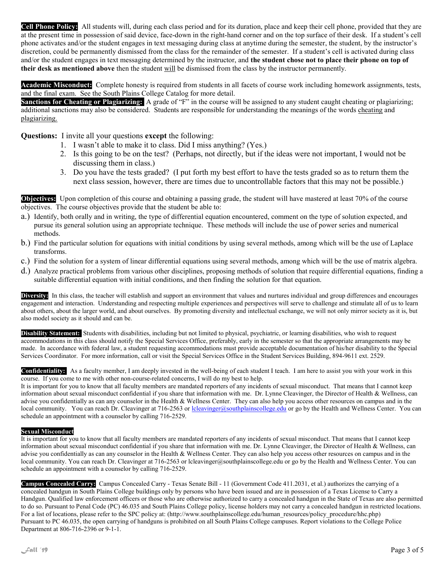Cell Phone Policy: All students will, during each class period and for its duration, place and keep their cell phone, provided that they are at the present time in possession of said device, face-down in the right-hand corner and on the top surface of their desk. If a student's cell phone activates and/or the student engages in text messaging during class at anytime during the semester, the student, by the instructor's discretion, could be permanently dismissed from the class for the remainder of the semester. If a student's cell is activated during class and/or the student engages in text messaging determined by the instructor, and the student chose not to place their phone on top of their desk as mentioned above then the student will be dismissed from the class by the instructor permanently.

Academic Misconduct: Complete honesty is required from students in all facets of course work including homework assignments, tests, and the final exam. See the South Plains College Catalog for more detail.

Sanctions for Cheating or Plagiarizing: A grade of "F" in the course will be assigned to any student caught cheating or plagiarizing; additional sanctions may also be considered. Students are responsible for understanding the meanings of the words cheating and plagiarizing.

Questions: I invite all your questions except the following:

- 1. I wasn't able to make it to class. Did I miss anything? (Yes.)
- 2. Is this going to be on the test? (Perhaps, not directly, but if the ideas were not important, I would not be discussing them in class.)
- 3. Do you have the tests graded? (I put forth my best effort to have the tests graded so as to return them the next class session, however, there are times due to uncontrollable factors that this may not be possible.)

Objectives: Upon completion of this course and obtaining a passing grade, the student will have mastered at least 70% of the course objectives. The course objectives provide that the student be able to:

- a.) Identify, both orally and in writing, the type of differential equation encountered, comment on the type of solution expected, and pursue its general solution using an appropriate technique. These methods will include the use of power series and numerical methods.
- b.) Find the particular solution for equations with initial conditions by using several methods, among which will be the use of Laplace transforms.
- c.) Find the solution for a system of linear differential equations using several methods, among which will be the use of matrix algebra.
- d.) Analyze practical problems from various other disciplines, proposing methods of solution that require differential equations, finding a suitable differential equation with initial conditions, and then finding the solution for that equation.

Diversity: In this class, the teacher will establish and support an environment that values and nurtures individual and group differences and encourages engagement and interaction. Understanding and respecting multiple experiences and perspectives will serve to challenge and stimulate all of us to learn about others, about the larger world, and about ourselves. By promoting diversity and intellectual exchange, we will not only mirror society as it is, but also model society as it should and can be.

Disability Statement: Students with disabilities, including but not limited to physical, psychiatric, or learning disabilities, who wish to request accommodations in this class should notify the Special Services Office, preferably, early in the semester so that the appropriate arrangements may be made. In accordance with federal law, a student requesting accommodations must provide acceptable documentation of his/her disability to the Special Services Coordinator. For more information, call or visit the Special Services Office in the Student Services Building, 894-9611 ext. 2529.

Confidentiality: As a faculty member, I am deeply invested in the well-being of each student I teach. I am here to assist you with your work in this course. If you come to me with other non-course-related concerns, I will do my best to help.

It is important for you to know that all faculty members are mandated reporters of any incidents of sexual misconduct. That means that I cannot keep information about sexual misconduct confidential if you share that information with me. Dr. Lynne Cleavinger, the Director of Health & Wellness, can advise you confidentially as can any counselor in the Health & Wellness Center. They can also help you access other resources on campus and in the local community. You can reach Dr. Cleavinger at 716-2563 or lcleavinger@southplainscollege.edu or go by the Health and Wellness Center. You can schedule an appointment with a counselor by calling 716-2529.

#### Sexual Misconduct

It is important for you to know that all faculty members are mandated reporters of any incidents of sexual misconduct. That means that I cannot keep information about sexual misconduct confidential if you share that information with me. Dr. Lynne Cleavinger, the Director of Health & Wellness, can advise you confidentially as can any counselor in the Health & Wellness Center. They can also help you access other resources on campus and in the local community. You can reach Dr. Cleavinger at 716-2563 or lcleavinger@southplainscollege.edu or go by the Health and Wellness Center. You can schedule an appointment with a counselor by calling 716-2529.

Campus Concealed Carry: Campus Concealed Carry - Texas Senate Bill - 11 (Government Code 411.2031, et al.) authorizes the carrying of a concealed handgun in South Plains College buildings only by persons who have been issued and are in possession of a Texas License to Carry a Handgun. Qualified law enforcement officers or those who are otherwise authorized to carry a concealed handgun in the State of Texas are also permitted to do so. Pursuant to Penal Code (PC) 46.035 and South Plains College policy, license holders may not carry a concealed handgun in restricted locations. For a list of locations, please refer to the SPC policy at: (http://www.southplainscollege.edu/human\_resources/policy\_procedure/hhc.php) Pursuant to PC 46.035, the open carrying of handguns is prohibited on all South Plains College campuses. Report violations to the College Police Department at 806-716-2396 or 9-1-1.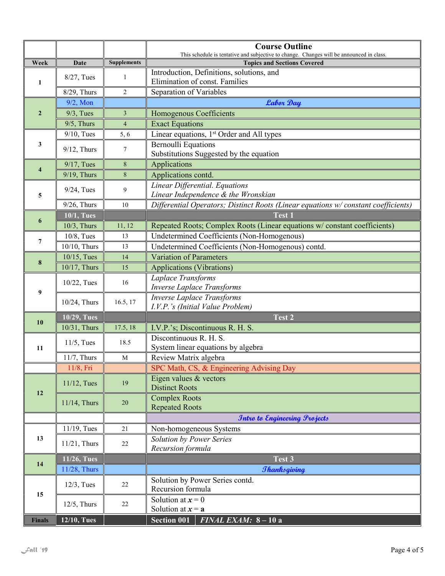|                     |                   |                    | <b>Course Outline</b><br>This schedule is tentative and subjective to change. Changes will be announced in class. |  |  |
|---------------------|-------------------|--------------------|-------------------------------------------------------------------------------------------------------------------|--|--|
| Week                | Date              | <b>Supplements</b> | <b>Topics and Sections Covered</b>                                                                                |  |  |
| 1                   | 8/27, Tues        | 1                  | Introduction, Definitions, solutions, and<br>Elimination of const. Families                                       |  |  |
|                     | 8/29, Thurs       | $\overline{2}$     | Separation of Variables                                                                                           |  |  |
| $\overline{2}$      | $9/2$ , Mon       |                    | <b>Labor Day</b>                                                                                                  |  |  |
|                     | $9/3$ , Tues      | $\overline{3}$     | Homogenous Coefficients                                                                                           |  |  |
|                     | $9/5$ , Thurs     | $\overline{4}$     | <b>Exact Equations</b>                                                                                            |  |  |
| 3                   | $9/10$ , Tues     | 5,6                | Linear equations, 1 <sup>st</sup> Order and All types                                                             |  |  |
|                     | $9/12$ , Thurs    | $\tau$             | <b>Bernoulli Equations</b><br>Substitutions Suggested by the equation                                             |  |  |
| $\overline{\bf{4}}$ | $9/17$ , Tues     | 8                  | Applications                                                                                                      |  |  |
|                     | 9/19, Thurs       | $8\,$              | Applications contd.                                                                                               |  |  |
| 5                   | $9/24$ , Tues     | 9                  | Linear Differential. Equations<br>Linear Independence & the Wronskian                                             |  |  |
|                     | $9/26$ , Thurs    | 10                 | Differential Operators; Distinct Roots (Linear equations w/constant coefficients)                                 |  |  |
|                     | <b>10/1, Tues</b> |                    | <b>Test 1</b>                                                                                                     |  |  |
| 6                   | 10/3, Thurs       | 11, 12             | Repeated Roots; Complex Roots (Linear equations w/constant coefficients)                                          |  |  |
|                     | $10/8$ , Tues     | 13                 | Undetermined Coefficients (Non-Homogenous)                                                                        |  |  |
| 7                   | 10/10, Thurs      | 13                 | Undetermined Coefficients (Non-Homogenous) contd.                                                                 |  |  |
| $\boldsymbol{8}$    | $10/15$ , Tues    | 14                 | <b>Variation of Parameters</b>                                                                                    |  |  |
|                     | 10/17, Thurs      | 15                 | <b>Applications (Vibrations)</b>                                                                                  |  |  |
| 9                   | 10/22, Tues       | 16                 | Laplace Transforms<br><b>Inverse Laplace Transforms</b>                                                           |  |  |
|                     | 10/24, Thurs      | 16.5, 17           | <b>Inverse Laplace Transforms</b><br>I.V.P.'s (Initial Value Problem)                                             |  |  |
| 10                  | 10/29, Tues       |                    | Test 2                                                                                                            |  |  |
|                     | 10/31, Thurs      | 17.5, 18           | I.V.P.'s; Discontinuous R. H. S.                                                                                  |  |  |
| 11                  | $11/5$ , Tues     | 18.5               | Discontinuous R. H. S.<br>System linear equations by algebra                                                      |  |  |
|                     | $11/7$ , Thurs    | M                  | Review Matrix algebra                                                                                             |  |  |
|                     | 11/8, Fri         |                    | SPC Math, CS, & Engineering Advising Day                                                                          |  |  |
| 12                  | $11/12$ , Tues    | 19                 | Eigen values & vectors<br><b>Distinct Roots</b>                                                                   |  |  |
|                     | 11/14, Thurs      | 20                 | <b>Complex Roots</b><br><b>Repeated Roots</b>                                                                     |  |  |
|                     |                   |                    | <b>Intro to Engineering Projects</b>                                                                              |  |  |
|                     | 11/19, Tues       | 21                 | Non-homogeneous Systems                                                                                           |  |  |
| 13                  | $11/21$ , Thurs   | 22                 | <b>Solution by Power Series</b><br>Recursion formula                                                              |  |  |
|                     | 11/26, Tues       |                    | Test 3                                                                                                            |  |  |
| 14                  | 11/28, Thurs      |                    | <b><i>Thanksgiving</i></b>                                                                                        |  |  |
|                     | $12/3$ , Tues     | 22                 | Solution by Power Series contd.<br>Recursion formula                                                              |  |  |
| 15                  | $12/5$ , Thurs    | 22                 | Solution at $x = 0$<br>Solution at $x = a$                                                                        |  |  |
| <b>Finals</b>       | 12/10, Tues       |                    | <b>Section 001</b><br>$\overline{FINAL}$ EXAM: $8-10a$                                                            |  |  |